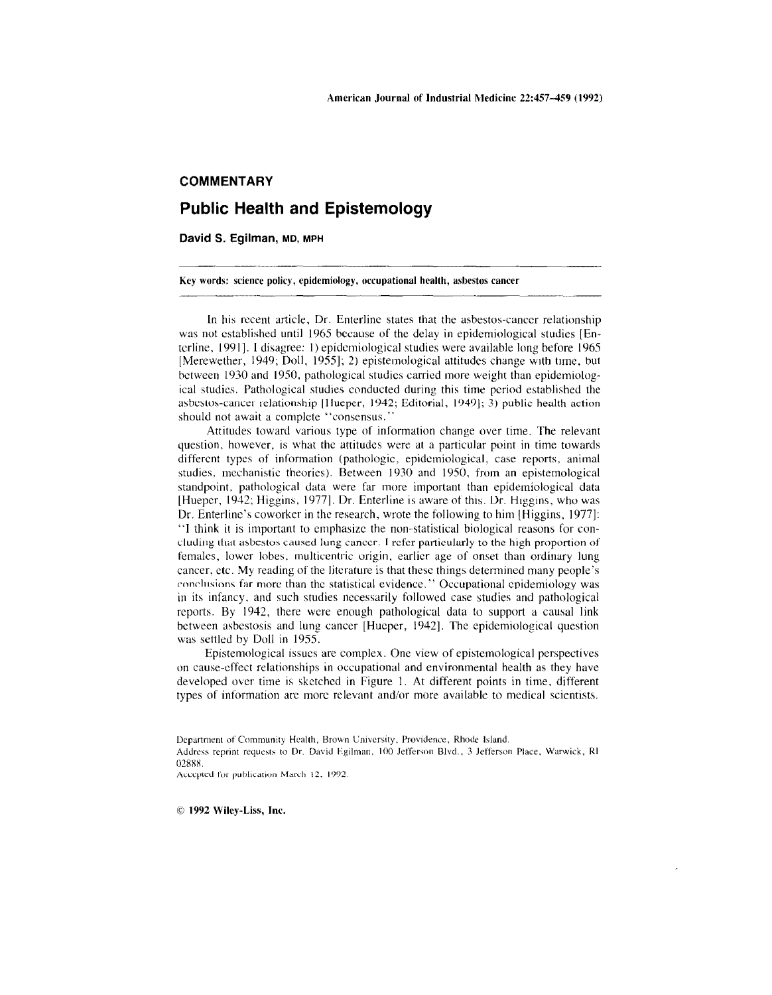## **COMMENTARY**

## **Public Health and Epistemology**

David S. Egilman, MD, MPH

Key words: science policy, epidemiology, occupational health, asbestos cancer **contract to the example of the set of the set of the set of the set of the set of the set of the set of the set of the set of the set of the se** 

In his recent article, Dr. Enterline states that the asbestos-cancer relationship was not established until 1965 because of the delay in epidemiological studies [Enterline, 1991]. I disagree: I) epidemiological studies were available long before 1965 [Mercwether, 1949; Doll, 1955]; 2) epistemological attitudes change WIth time, but between 1930 and 1950, pathological studies carried more weight than epidemiological studies. Pathological studies conducted during this time pcriod established the asbestos-cancer relationship [Hueper, 1942; Editorial, 1949]; 3) public health action should not await a complete "consensus."

Attitudes toward various type of information change over time. The relevant question, however, is what the attitudes were at a particular point in time towards different types of information (pathologic, epidemiological, case reports, animal studies, mechanistic theories). Between 1930 and 1950, from an epistemological standpoint. pathological data were far more important than epidemiological data [Hueper, 1942; Higgins, 1977]. Dr. Enterline is aware of this. Dr. Higgins, who was Dr. Enterline's coworker in the research, wrote the following to him Higgins, 1977]: "I think it is important to emphasize the non-statistical biological reasons for concluding that asbestos caused lung cancer. I refer particularly to the high proportion of females, lower lobes, multicentric origin, earlier age of onset than ordinary lung cancer. etc. My reading of the literature is that these things determined many people's conclusions far more than the statistical evidence." Occupational epidemiology was in its infancy, and such studies necessarily followed case studies and pathological reports. By 1942, there were enough pathological data to support a causal link between asbestosis and lung cancer [Hucper, 1942]. The epidemiological question was settled by Doll in 1955.

Epistemological issues are complex. One view of epistemological perspectives on cause-effect relationships in occupational and environmental health as they have developed over time is sketched in Figure 1. At different points in time, different types of information arc more relevant and/or more available to medical scientists.

Accepted for publication March 12, 1992.

1992 Wiley·Liss, Inc.

Department of Community Health, Brown University, Providence, Rhode Island. Address reprint requests to Dr. David Egilman, 100 Jefferson Blvd., 3 Jefferson Place, Warwick, RI 02888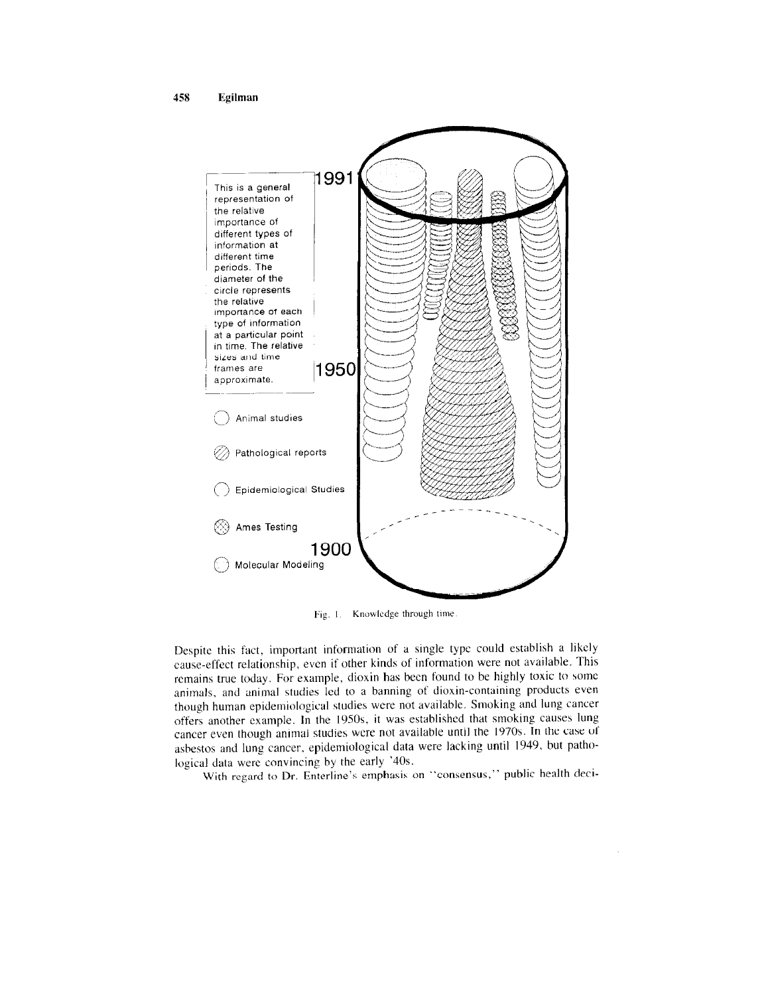

Fig. 1. Knowledge through time.

Despite this fact, important information of a single type could establish a likely cause-effect relationship, even if other kinds of information were not available. This remains true today. For example, dioxin has been found to be highly toxic to some animals, and animal studies led to a banning of dioxin-containing products even though human epidemiological studies were not available. Smoking and lung cancer offers another example. **In** the 1950s, it was established that smoking causes lung cancer even though ammal studies were not available umil the 1970s. **In** lhe case uf asbestos and lung cancer, epidemiological data were lacking until 1949, but pathological data werc convincing by the early '40s.

With regard to Dr. Enterline's emphasis on "consensus," public health deci-